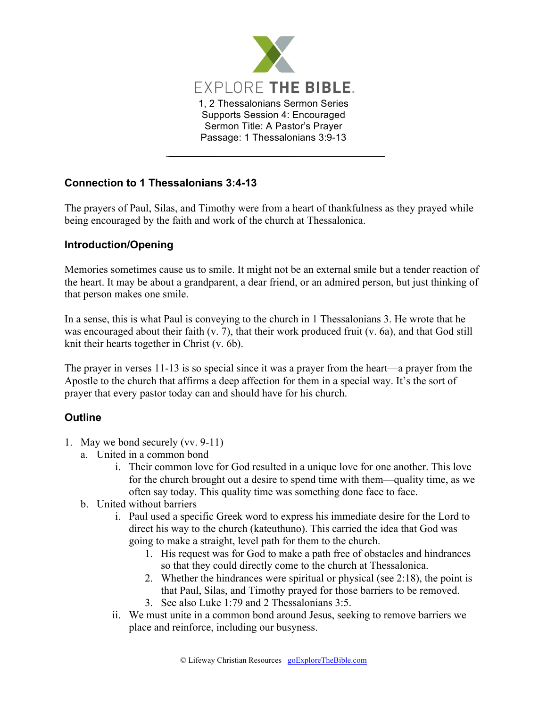

## **Connection to 1 Thessalonians 3:4-13**

The prayers of Paul, Silas, and Timothy were from a heart of thankfulness as they prayed while being encouraged by the faith and work of the church at Thessalonica.

## **Introduction/Opening**

Memories sometimes cause us to smile. It might not be an external smile but a tender reaction of the heart. It may be about a grandparent, a dear friend, or an admired person, but just thinking of that person makes one smile.

In a sense, this is what Paul is conveying to the church in 1 Thessalonians 3. He wrote that he was encouraged about their faith (v. 7), that their work produced fruit (v. 6a), and that God still knit their hearts together in Christ (v. 6b).

The prayer in verses 11-13 is so special since it was a prayer from the heart—a prayer from the Apostle to the church that affirms a deep affection for them in a special way. It's the sort of prayer that every pastor today can and should have for his church.

## **Outline**

- 1. May we bond securely (vv. 9-11)
	- a. United in a common bond
		- i. Their common love for God resulted in a unique love for one another. This love for the church brought out a desire to spend time with them—quality time, as we often say today. This quality time was something done face to face.
	- b. United without barriers
		- i. Paul used a specific Greek word to express his immediate desire for the Lord to direct his way to the church (kateuthuno). This carried the idea that God was going to make a straight, level path for them to the church.
			- 1. His request was for God to make a path free of obstacles and hindrances so that they could directly come to the church at Thessalonica.
			- 2. Whether the hindrances were spiritual or physical (see 2:18), the point is that Paul, Silas, and Timothy prayed for those barriers to be removed.
			- 3. See also Luke 1:79 and 2 Thessalonians 3:5.
		- ii. We must unite in a common bond around Jesus, seeking to remove barriers we place and reinforce, including our busyness.